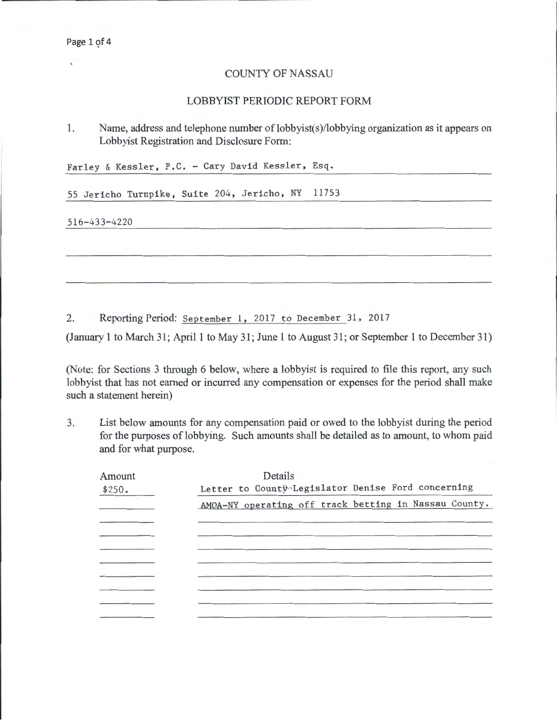$\mathbf{C}$ 

## COUNTY OF NASSAU

## LOBBYIST PERIODIC REPORT FORM

1. Name, address and telephone number of lobbyist(s)/lobbying organization as it appears on Lobbyist Registration and Disclosure Form:

Farley & Kessler, P.C. - Cary David Kessler, Esq.

55 Jericho Turnpikę, Suite 204, Jericho, NY 11753

516-433-4220

2. Reporting Period: September 1, 2017 to December 31, 2017

(January 1 to March 31; April 1 to May 31; June 1 to August 31; or September 1 to December 31)

(Note: for Sections 3 through 6 below, where a lobbyist is required to file this report, any such lobbyist that has not earned or incurred any compensation or expenses for the period shall make such a statement herein)

3. List below amounts for any compensation paid or owed to the lobbyist during the period for the purposes of lobbying. Such amounts shall be detailed as to amount, to whom paid and for what purpose.

| Amount            | Details                                               |
|-------------------|-------------------------------------------------------|
| \$250.            | Letter to County-Legislator Denise Ford concerning    |
| <b>Contractor</b> | AMOA-NY operating off track betting in Nassau County. |
|                   |                                                       |
|                   |                                                       |
|                   |                                                       |
|                   |                                                       |
|                   |                                                       |
|                   |                                                       |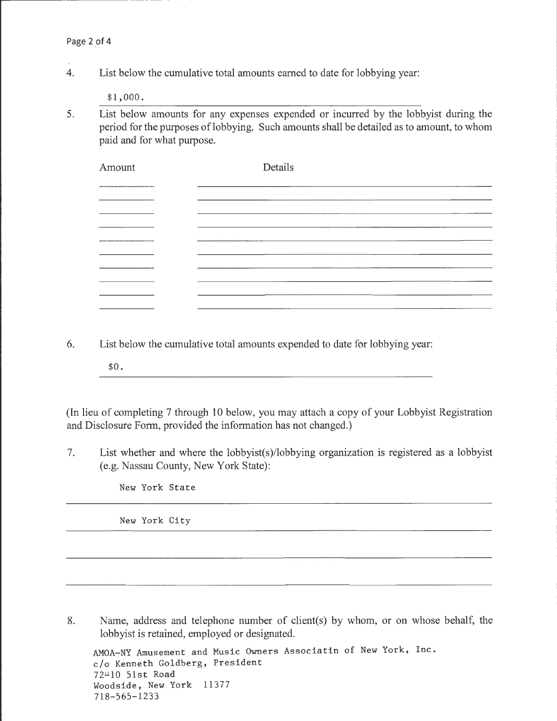4. List below the cumulative total amounts earned to date for lobbying year:

\$1,000.

5. List below amounts for any expenses expended or incurred by the lobbyist during the period for the purposes of lobbying. Such amounts shall be detailed as to amount, to whom paid and for what purpose.

| Amount    | Details |  |
|-----------|---------|--|
| _________ | $\sim$  |  |
|           |         |  |
|           |         |  |
|           |         |  |
|           |         |  |
|           |         |  |
|           |         |  |

- 6. List below the cumulative total amounts expended to date for lobbying year:
	- \$0.

(In lieu of completing 7 through 10 below, you may attach a copy of your Lobbyist Registration and Disclosure Form, provided the information has not changed.)

7. List whether and where the lobbyist(s)/lobbying organization is registered as a lobbyist (e.g. Nassau County, New York State):

New York State

New York City

8. Name, address and telephone number of client(s) by whom, or on whose behalf, the lobbyist is retained, employed or designated.

```
AMOA-NY Amusement and Music Owners Associatin of New York, Inc. 
c/o Kenneth Goldberg, President 
72810 51st Road 
Woodside, New York 11377 
718-565-1233
```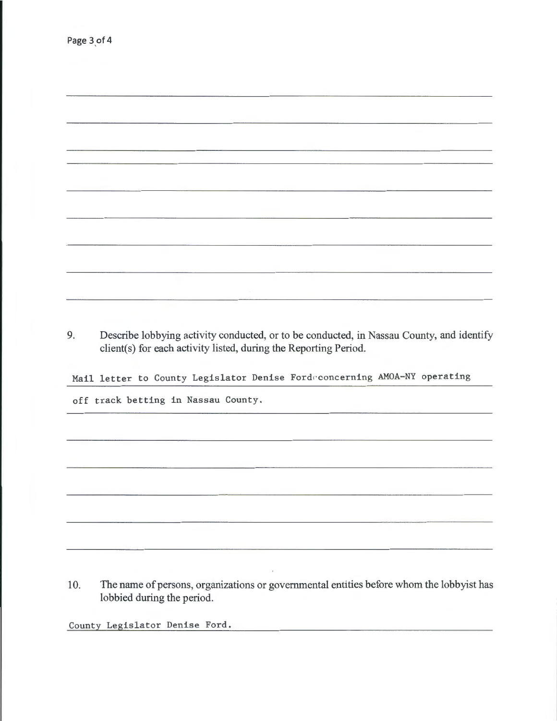| the contract of the company of the contract of the contract of the contract of<br>$\begin{tabular}{ccccccccc} \multicolumn{2}{c }{\textbf{}} & \multicolumn{2}{c }{\textbf{}} & \multicolumn{2}{c }{\textbf{}} \\ \multicolumn{2}{c }{\textbf{}} & \multicolumn{2}{c }{\textbf{}} & \multicolumn{2}{c }{\textbf{}} \\ \multicolumn{2}{c }{\textbf{}} & \multicolumn{2}{c }{\textbf{}} & \multicolumn{2}{c }{\textbf{}} \\ \multicolumn{2}{c }{\textbf{}} & \multicolumn{2}{c }{\textbf{}} & \multicolumn{2}{c }{\textbf{}} \\ \multicolumn{2}{c }{\textbf{}} & \mult$ |                                                                                                                                                                                                                                      |  |
|-----------------------------------------------------------------------------------------------------------------------------------------------------------------------------------------------------------------------------------------------------------------------------------------------------------------------------------------------------------------------------------------------------------------------------------------------------------------------------------------------------------------------------------------------------------------------|--------------------------------------------------------------------------------------------------------------------------------------------------------------------------------------------------------------------------------------|--|
|                                                                                                                                                                                                                                                                                                                                                                                                                                                                                                                                                                       |                                                                                                                                                                                                                                      |  |
|                                                                                                                                                                                                                                                                                                                                                                                                                                                                                                                                                                       |                                                                                                                                                                                                                                      |  |
|                                                                                                                                                                                                                                                                                                                                                                                                                                                                                                                                                                       | <u> Alban Alban (Alban Alban Alban Alban Alban Alban Alban Alban Alban Alban Alban Alban Alban Alban Alban Alban Alban Alban Alban Alban Alban Alban Alban Alban Alban Alban Alban Alban Alban Alban Alban Alban Alban Alban Alb</u> |  |
|                                                                                                                                                                                                                                                                                                                                                                                                                                                                                                                                                                       |                                                                                                                                                                                                                                      |  |
|                                                                                                                                                                                                                                                                                                                                                                                                                                                                                                                                                                       |                                                                                                                                                                                                                                      |  |
|                                                                                                                                                                                                                                                                                                                                                                                                                                                                                                                                                                       |                                                                                                                                                                                                                                      |  |
|                                                                                                                                                                                                                                                                                                                                                                                                                                                                                                                                                                       |                                                                                                                                                                                                                                      |  |
|                                                                                                                                                                                                                                                                                                                                                                                                                                                                                                                                                                       |                                                                                                                                                                                                                                      |  |
|                                                                                                                                                                                                                                                                                                                                                                                                                                                                                                                                                                       |                                                                                                                                                                                                                                      |  |
|                                                                                                                                                                                                                                                                                                                                                                                                                                                                                                                                                                       |                                                                                                                                                                                                                                      |  |
|                                                                                                                                                                                                                                                                                                                                                                                                                                                                                                                                                                       |                                                                                                                                                                                                                                      |  |

9. Describe lobbying activity conducted, or to be conducted, in Nassau County, and identify client(s) for each activity listed, during the Reporting Period.

Mail letter to County Legislator Denise Fordeconcerning AMOA-NY operating

off track betting in Nassau County.

10. The name of persons, organizations or governmental entities before whom the lobbyist has lobbied during the period.

County Legislator Denise Ford.